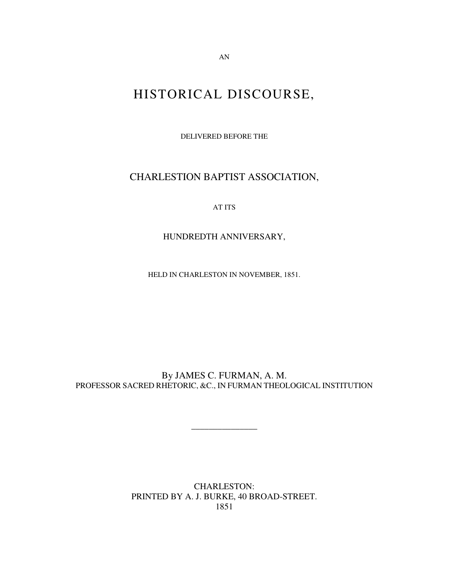HISTORICAL DISCOURSE,

DELIVERED BEFORE THE

CHARLESTION BAPTIST ASSOCIATION,

AT ITS

HUNDREDTH ANNIVERSARY,

HELD IN CHARLESTON IN NOVEMBER, 1851.

By JAMES C. FURMAN, A. M. PROFESSOR SACRED RHETORIC, &C., IN FURMAN THEOLOGICAL INSTITUTION

\_\_\_\_\_\_\_\_\_\_\_\_\_\_\_

CHARLESTON: PRINTED BY A. J. BURKE, 40 BROAD-STREET. 1851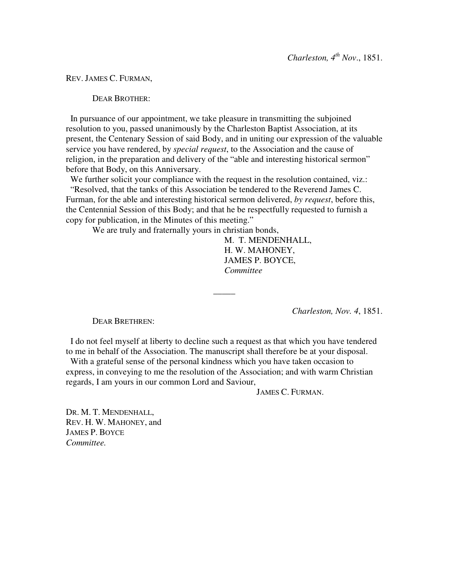REV. JAMES C. FURMAN,

DEAR BROTHER:

In pursuance of our appointment, we take pleasure in transmitting the subjoined resolution to you, passed unanimously by the Charleston Baptist Association, at its present, the Centenary Session of said Body, and in uniting our expression of the valuable service you have rendered, by *special request*, to the Association and the cause of religion, in the preparation and delivery of the "able and interesting historical sermon" before that Body, on this Anniversary.

We further solicit your compliance with the request in the resolution contained, viz.: "Resolved, that the tanks of this Association be tendered to the Reverend James C. Furman, for the able and interesting historical sermon delivered, *by request*, before this, the Centennial Session of this Body; and that he be respectfully requested to furnish a copy for publication, in the Minutes of this meeting."

We are truly and fraternally yours in christian bonds,

M. T. MENDENHALL, H. W. MAHONEY, JAMES P. BOYCE, *Committee*

*Charleston, Nov. 4*, 1851.

DEAR BRETHREN:

I do not feel myself at liberty to decline such a request as that which you have tendered to me in behalf of the Association. The manuscript shall therefore be at your disposal.

 $\overline{\phantom{a}}$ 

With a grateful sense of the personal kindness which you have taken occasion to express, in conveying to me the resolution of the Association; and with warm Christian regards, I am yours in our common Lord and Saviour,

JAMES C. FURMAN.

DR. M. T. MENDENHALL, REV. H. W. MAHONEY, and JAMES P. BOYCE *Committee.*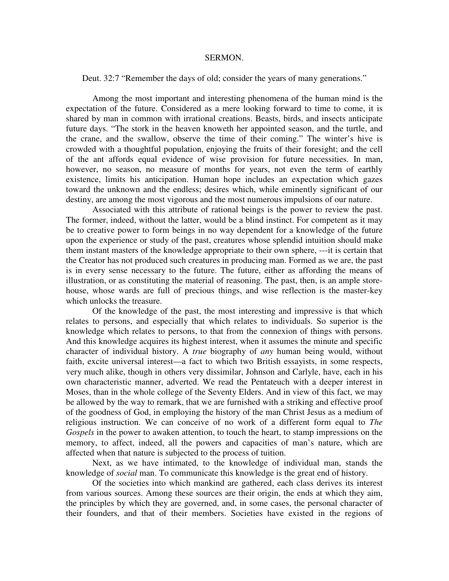## SERMON.

Deut. 32:7 "Remember the days of old; consider the years of many generations."

Among the most important and interesting phenomena of the human mind is the expectation of the future. Considered as a mere looking forward to time to come, it is shared by man in common with irrational creations. Beasts, birds, and insects anticipate future days. "The stork in the heaven knoweth her appointed season, and the turtle, and the crane, and the swallow, observe the time of their coming." The winter's hive is crowded with a thoughtful population, enjoying the fruits of their foresight; and the cell of the ant affords equal evidence of wise provision for future necessities. In man, however, no season, no measure of months for years, not even the term of earthly existence, limits his anticipation. Human hope includes an expectation which gazes toward the unknown and the endless; desires which, while eminently significant of our destiny, are among the most vigorous and the most numerous impulsions of our nature.

Associated with this attribute of rational beings is the power to review the past. The former, indeed, without the latter, would be a blind instinct. For competent as it may be to creative power to form beings in no way dependent for a knowledge of the future upon the experience or study of the past, creatures whose splendid intuition should make them instant masters of the knowledge appropriate to their own sphere, ---it is certain that the Creator has not produced such creatures in producing man. Formed as we are, the past is in every sense necessary to the future. The future, either as affording the means of illustration, or as constituting the material of reasoning. The past, then, is an ample storehouse, whose wards are full of precious things, and wise reflection is the master-key which unlocks the treasure.

Of the knowledge of the past, the most interesting and impressive is that which relates to persons, and especially that which relates to individuals. So superior is the knowledge which relates to persons, to that from the connexion of things with persons. And this knowledge acquires its highest interest, when it assumes the minute and specific character of individual history. A *true* biography of *any* human being would, without faith, excite universal interest—a fact to which two British essayists, in some respects, very much alike, though in others very dissimilar, Johnson and Carlyle, have, each in his own characteristic manner, adverted. We read the Pentateuch with a deeper interest in Moses, than in the whole college of the Seventy Elders. And in view of this fact, we may be allowed by the way to remark, that we are furnished with a striking and effective proof of the goodness of God, in employing the history of the man Christ Jesus as a medium of religious instruction. We can conceive of no work of a different form equal to *The Gospels* in the power to awaken attention, to touch the heart, to stamp impressions on the memory, to affect, indeed, all the powers and capacities of man's nature, which are affected when that nature is subjected to the process of tuition.

Next, as we have intimated, to the knowledge of individual man, stands the knowledge of *social* man. To communicate this knowledge is the great end of history.

Of the societies into which mankind are gathered, each class derives its interest from various sources. Among these sources are their origin, the ends at which they aim, the principles by which they are governed, and, in some cases, the personal character of their founders, and that of their members. Societies have existed in the regions of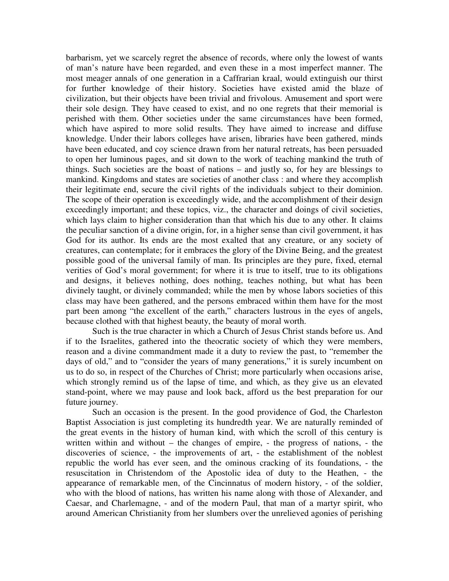barbarism, yet we scarcely regret the absence of records, where only the lowest of wants of man's nature have been regarded, and even these in a most imperfect manner. The most meager annals of one generation in a Caffrarian kraal, would extinguish our thirst for further knowledge of their history. Societies have existed amid the blaze of civilization, but their objects have been trivial and frivolous. Amusement and sport were their sole design. They have ceased to exist, and no one regrets that their memorial is perished with them. Other societies under the same circumstances have been formed, which have aspired to more solid results. They have aimed to increase and diffuse knowledge. Under their labors colleges have arisen, libraries have been gathered, minds have been educated, and coy science drawn from her natural retreats, has been persuaded to open her luminous pages, and sit down to the work of teaching mankind the truth of things. Such societies are the boast of nations – and justly so, for hey are blessings to mankind. Kingdoms and states are societies of another class : and where they accomplish their legitimate end, secure the civil rights of the individuals subject to their dominion. The scope of their operation is exceedingly wide, and the accomplishment of their design exceedingly important; and these topics, viz., the character and doings of civil societies, which lays claim to higher consideration than that which his due to any other. It claims the peculiar sanction of a divine origin, for, in a higher sense than civil government, it has God for its author. Its ends are the most exalted that any creature, or any society of creatures, can contemplate; for it embraces the glory of the Divine Being, and the greatest possible good of the universal family of man. Its principles are they pure, fixed, eternal verities of God's moral government; for where it is true to itself, true to its obligations and designs, it believes nothing, does nothing, teaches nothing, but what has been divinely taught, or divinely commanded; while the men by whose labors societies of this class may have been gathered, and the persons embraced within them have for the most part been among "the excellent of the earth," characters lustrous in the eyes of angels, because clothed with that highest beauty, the beauty of moral worth.

Such is the true character in which a Church of Jesus Christ stands before us. And if to the Israelites, gathered into the theocratic society of which they were members, reason and a divine commandment made it a duty to review the past, to "remember the days of old," and to "consider the years of many generations," it is surely incumbent on us to do so, in respect of the Churches of Christ; more particularly when occasions arise, which strongly remind us of the lapse of time, and which, as they give us an elevated stand-point, where we may pause and look back, afford us the best preparation for our future journey.

Such an occasion is the present. In the good providence of God, the Charleston Baptist Association is just completing its hundredth year. We are naturally reminded of the great events in the history of human kind, with which the scroll of this century is written within and without – the changes of empire, - the progress of nations, - the discoveries of science, - the improvements of art, - the establishment of the noblest republic the world has ever seen, and the ominous cracking of its foundations, - the resuscitation in Christendom of the Apostolic idea of duty to the Heathen, - the appearance of remarkable men, of the Cincinnatus of modern history, - of the soldier, who with the blood of nations, has written his name along with those of Alexander, and Caesar, and Charlemagne, - and of the modern Paul, that man of a martyr spirit, who around American Christianity from her slumbers over the unrelieved agonies of perishing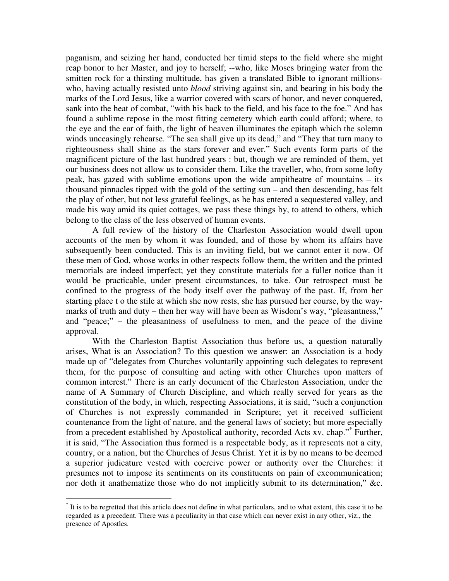paganism, and seizing her hand, conducted her timid steps to the field where she might reap honor to her Master, and joy to herself; --who, like Moses bringing water from the smitten rock for a thirsting multitude, has given a translated Bible to ignorant millionswho, having actually resisted unto *blood* striving against sin, and bearing in his body the marks of the Lord Jesus, like a warrior covered with scars of honor, and never conquered, sank into the heat of combat, "with his back to the field, and his face to the foe." And has found a sublime repose in the most fitting cemetery which earth could afford; where, to the eye and the ear of faith, the light of heaven illuminates the epitaph which the solemn winds unceasingly rehearse. "The sea shall give up its dead," and "They that turn many to righteousness shall shine as the stars forever and ever." Such events form parts of the magnificent picture of the last hundred years : but, though we are reminded of them, yet our business does not allow us to consider them. Like the traveller, who, from some lofty peak, has gazed with sublime emotions upon the wide ampitheatre of mountains – its thousand pinnacles tipped with the gold of the setting sun – and then descending, has felt the play of other, but not less grateful feelings, as he has entered a sequestered valley, and made his way amid its quiet cottages, we pass these things by, to attend to others, which belong to the class of the less observed of human events.

A full review of the history of the Charleston Association would dwell upon accounts of the men by whom it was founded, and of those by whom its affairs have subsequently been conducted. This is an inviting field, but we cannot enter it now. Of these men of God, whose works in other respects follow them, the written and the printed memorials are indeed imperfect; yet they constitute materials for a fuller notice than it would be practicable, under present circumstances, to take. Our retrospect must be confined to the progress of the body itself over the pathway of the past. If, from her starting place t o the stile at which she now rests, she has pursued her course, by the waymarks of truth and duty – then her way will have been as Wisdom's way, "pleasantness," and "peace;" – the pleasantness of usefulness to men, and the peace of the divine approval.

With the Charleston Baptist Association thus before us, a question naturally arises, What is an Association? To this question we answer: an Association is a body made up of "delegates from Churches voluntarily appointing such delegates to represent them, for the purpose of consulting and acting with other Churches upon matters of common interest." There is an early document of the Charleston Association, under the name of A Summary of Church Discipline, and which really served for years as the constitution of the body, in which, respecting Associations, it is said, "such a conjunction of Churches is not expressly commanded in Scripture; yet it received sufficient countenance from the light of nature, and the general laws of society; but more especially from a precedent established by Apostolical authority, recorded Acts xv. chap."<sup>\*</sup> Further, it is said, "The Association thus formed is a respectable body, as it represents not a city, country, or a nation, but the Churches of Jesus Christ. Yet it is by no means to be deemed a superior judicature vested with coercive power or authority over the Churches: it presumes not to impose its sentiments on its constituents on pain of excommunication; nor doth it anathematize those who do not implicitly submit to its determination," &c.

<sup>\*</sup> It is to be regretted that this article does not define in what particulars, and to what extent, this case it to be regarded as a precedent. There was a peculiarity in that case which can never exist in any other, viz., the presence of Apostles.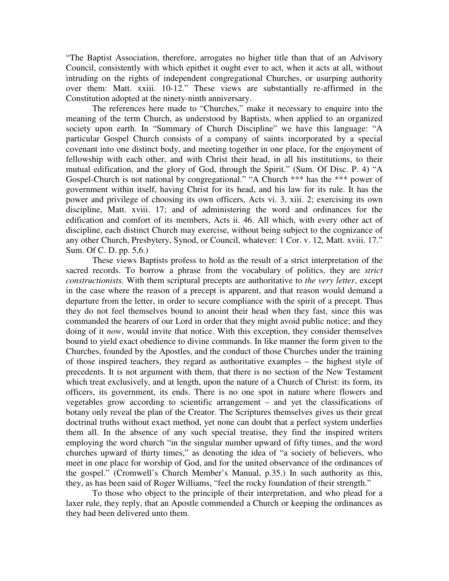"The Baptist Association, therefore, arrogates no higher title than that of an Advisory Council, consistently with which epithet it ought ever to act, when it acts at all, without intruding on the rights of independent congregational Churches, or usurping authority over them: Matt. xxiii. 10-12." These views are substantially re-affirmed in the Constitution adopted at the ninety-ninth anniversary.

The references here made to "Churches," make it necessary to enquire into the meaning of the term Church, as understood by Baptists, when applied to an organized society upon earth. In "Summary of Church Discipline" we have this language: "A particular Gospel Church consists of a company of saints incorporated by a special covenant into one distinct body, and meeting together in one place, for the enjoyment of fellowship with each other, and with Christ their head, in all his institutions, to their mutual edification, and the glory of God, through the Spirit." (Sum. Of Disc. P. 4) "A Gospel-Church is not national by congregational." "A Church \*\*\* has the \*\*\* power of government within itself, having Christ for its head, and his law for its rule. It has the power and privilege of choosing its own officers, Acts vi. 3, xiii. 2; exercising its own discipline, Matt. xviii. 17; and of administering the word and ordinances for the edification and comfort of its members, Acts ii. 46. All which, with every other act of discipline, each distinct Church may exercise, without being subject to the cognizance of any other Church, Presbytery, Synod, or Council, whatever: 1 Cor. v. 12, Matt. xviii. 17." Sum. Of C. D. pp. 5,6.)

These views Baptists profess to hold as the result of a strict interpretation of the sacred records. To borrow a phrase from the vocabulary of politics, they are *strict constructionists.* With them scriptural precepts are authoritative to *the very letter*, except in the case where the reason of a precept is apparent, and that reason would demand a departure from the letter, in order to secure compliance with the spirit of a precept. Thus they do not feel themselves bound to anoint their head when they fast, since this was commanded the hearers of our Lord in order that they might avoid public notice; and they doing of it *now*, would invite that notice. With this exception, they consider themselves bound to yield exact obedience to divine commands. In like manner the form given to the Churches, founded by the Apostles, and the conduct of those Churches under the training of those inspired teachers, they regard as authoritative examples – the highest style of precedents. It is not argument with them, that there is no section of the New Testament which treat exclusively, and at length, upon the nature of a Church of Christ: its form, its officers, its government, its ends. There is no one spot in nature where flowers and vegetables grow according to scientific arrangement – and yet the classifications of botany only reveal the plan of the Creator. The Scriptures themselves gives us their great doctrinal truths without exact method, yet none can doubt that a perfect system underlies them all. In the absence of any such special treatise, they find the inspired writers employing the word church "in the singular number upward of fifty times, and the word churches upward of thirty times," as denoting the idea of "a society of believers, who meet in one place for worship of God, and for the united observance of the ordinances of the gospel." (Cromwell's Church Member's Manual, p.35.) In such authority as this, they, as has been said of Roger Williams, "feel the rocky foundation of their strength."

To those who object to the principle of their interpretation, and who plead for a laxer rule, they reply, that an Apostle commended a Church or keeping the ordinances as they had been delivered unto them.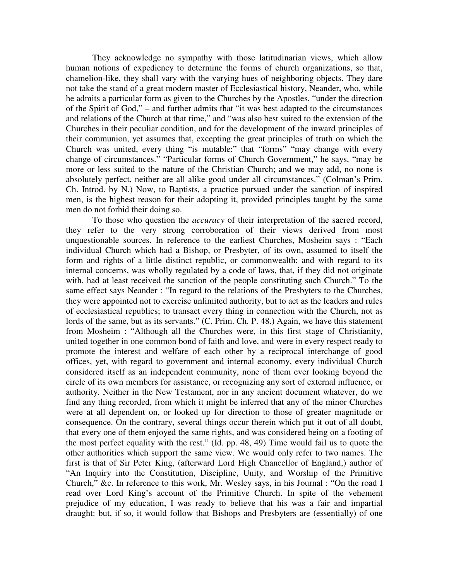They acknowledge no sympathy with those latitudinarian views, which allow human notions of expediency to determine the forms of church organizations, so that, chamelion-like, they shall vary with the varying hues of neighboring objects. They dare not take the stand of a great modern master of Ecclesiastical history, Neander, who, while he admits a particular form as given to the Churches by the Apostles, "under the direction of the Spirit of God," – and further admits that "it was best adapted to the circumstances and relations of the Church at that time," and "was also best suited to the extension of the Churches in their peculiar condition, and for the development of the inward principles of their communion, yet assumes that, excepting the great principles of truth on which the Church was united, every thing "is mutable:" that "forms" "may change with every change of circumstances." "Particular forms of Church Government," he says, "may be more or less suited to the nature of the Christian Church; and we may add, no none is absolutely perfect, neither are all alike good under all circumstances." (Colman's Prim. Ch. Introd. by N.) Now, to Baptists, a practice pursued under the sanction of inspired men, is the highest reason for their adopting it, provided principles taught by the same men do not forbid their doing so.

To those who question the *accuracy* of their interpretation of the sacred record, they refer to the very strong corroboration of their views derived from most unquestionable sources. In reference to the earliest Churches, Mosheim says : "Each individual Church which had a Bishop, or Presbyter, of its own, assumed to itself the form and rights of a little distinct republic, or commonwealth; and with regard to its internal concerns, was wholly regulated by a code of laws, that, if they did not originate with, had at least received the sanction of the people constituting such Church." To the same effect says Neander : "In regard to the relations of the Presbyters to the Churches, they were appointed not to exercise unlimited authority, but to act as the leaders and rules of ecclesiastical republics; to transact every thing in connection with the Church, not as lords of the same, but as its servants." (C. Prim. Ch. P. 48.) Again, we have this statement from Mosheim : "Although all the Churches were, in this first stage of Christianity, united together in one common bond of faith and love, and were in every respect ready to promote the interest and welfare of each other by a reciprocal interchange of good offices, yet, with regard to government and internal economy, every individual Church considered itself as an independent community, none of them ever looking beyond the circle of its own members for assistance, or recognizing any sort of external influence, or authority. Neither in the New Testament, nor in any ancient document whatever, do we find any thing recorded, from which it might be inferred that any of the minor Churches were at all dependent on, or looked up for direction to those of greater magnitude or consequence. On the contrary, several things occur therein which put it out of all doubt, that every one of them enjoyed the same rights, and was considered being on a footing of the most perfect equality with the rest." (Id. pp. 48, 49) Time would fail us to quote the other authorities which support the same view. We would only refer to two names. The first is that of Sir Peter King, (afterward Lord High Chancellor of England,) author of "An Inquiry into the Constitution, Discipline, Unity, and Worship of the Primitive Church," &c. In reference to this work, Mr. Wesley says, in his Journal : "On the road I read over Lord King's account of the Primitive Church. In spite of the vehement prejudice of my education, I was ready to believe that his was a fair and impartial draught: but, if so, it would follow that Bishops and Presbyters are (essentially) of one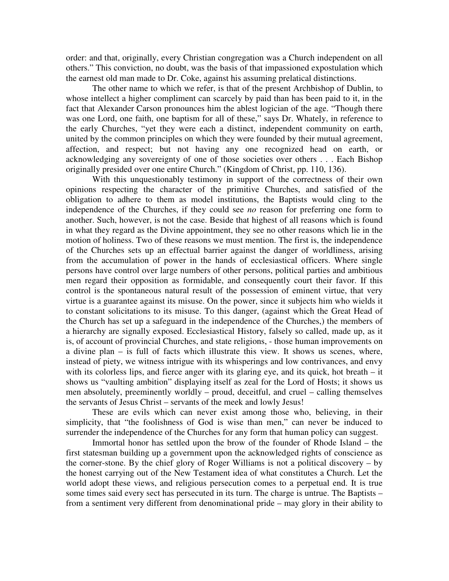order: and that, originally, every Christian congregation was a Church independent on all others." This conviction, no doubt, was the basis of that impassioned expostulation which the earnest old man made to Dr. Coke, against his assuming prelatical distinctions.

The other name to which we refer, is that of the present Archbishop of Dublin, to whose intellect a higher compliment can scarcely by paid than has been paid to it, in the fact that Alexander Carson pronounces him the ablest logician of the age. "Though there was one Lord, one faith, one baptism for all of these," says Dr. Whately, in reference to the early Churches, "yet they were each a distinct, independent community on earth, united by the common principles on which they were founded by their mutual agreement, affection, and respect; but not having any one recognized head on earth, or acknowledging any sovereignty of one of those societies over others . . . Each Bishop originally presided over one entire Church." (Kingdom of Christ, pp. 110, 136).

With this unquestionably testimony in support of the correctness of their own opinions respecting the character of the primitive Churches, and satisfied of the obligation to adhere to them as model institutions, the Baptists would cling to the independence of the Churches, if they could see *no* reason for preferring one form to another. Such, however, is not the case. Beside that highest of all reasons which is found in what they regard as the Divine appointment, they see no other reasons which lie in the motion of holiness. Two of these reasons we must mention. The first is, the independence of the Churches sets up an effectual barrier against the danger of worldliness, arising from the accumulation of power in the hands of ecclesiastical officers. Where single persons have control over large numbers of other persons, political parties and ambitious men regard their opposition as formidable, and consequently court their favor. If this control is the spontaneous natural result of the possession of eminent virtue, that very virtue is a guarantee against its misuse. On the power, since it subjects him who wields it to constant solicitations to its misuse. To this danger, (against which the Great Head of the Church has set up a safeguard in the independence of the Churches,) the members of a hierarchy are signally exposed. Ecclesiastical History, falsely so called, made up, as it is, of account of provincial Churches, and state religions, - those human improvements on a divine plan – is full of facts which illustrate this view. It shows us scenes, where, instead of piety, we witness intrigue with its whisperings and low contrivances, and envy with its colorless lips, and fierce anger with its glaring eye, and its quick, hot breath – it shows us "vaulting ambition" displaying itself as zeal for the Lord of Hosts; it shows us men absolutely, preeminently worldly – proud, deceitful, and cruel – calling themselves the servants of Jesus Christ – servants of the meek and lowly Jesus!

These are evils which can never exist among those who, believing, in their simplicity, that "the foolishness of God is wise than men," can never be induced to surrender the independence of the Churches for any form that human policy can suggest.

Immortal honor has settled upon the brow of the founder of Rhode Island – the first statesman building up a government upon the acknowledged rights of conscience as the corner-stone. By the chief glory of Roger Williams is not a political discovery – by the honest carrying out of the New Testament idea of what constitutes a Church. Let the world adopt these views, and religious persecution comes to a perpetual end. It is true some times said every sect has persecuted in its turn. The charge is untrue. The Baptists – from a sentiment very different from denominational pride – may glory in their ability to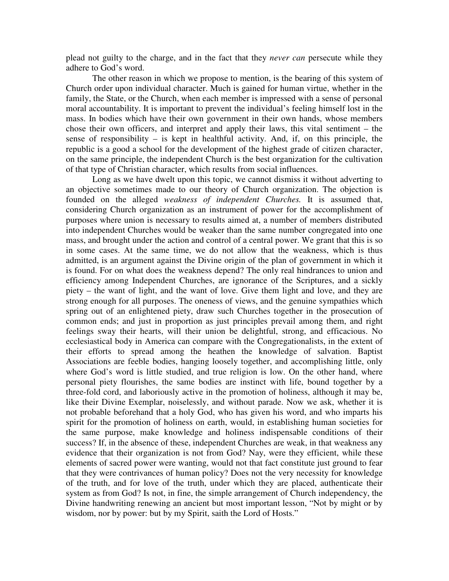plead not guilty to the charge, and in the fact that they *never can* persecute while they adhere to God's word.

The other reason in which we propose to mention, is the bearing of this system of Church order upon individual character. Much is gained for human virtue, whether in the family, the State, or the Church, when each member is impressed with a sense of personal moral accountability. It is important to prevent the individual's feeling himself lost in the mass. In bodies which have their own government in their own hands, whose members chose their own officers, and interpret and apply their laws, this vital sentiment – the sense of responsibility – is kept in healthful activity. And, if, on this principle, the republic is a good a school for the development of the highest grade of citizen character, on the same principle, the independent Church is the best organization for the cultivation of that type of Christian character, which results from social influences.

Long as we have dwelt upon this topic, we cannot dismiss it without adverting to an objective sometimes made to our theory of Church organization. The objection is founded on the alleged *weakness of independent Churches.* It is assumed that, considering Church organization as an instrument of power for the accomplishment of purposes where union is necessary to results aimed at, a number of members distributed into independent Churches would be weaker than the same number congregated into one mass, and brought under the action and control of a central power. We grant that this is so in some cases. At the same time, we do not allow that the weakness, which is thus admitted, is an argument against the Divine origin of the plan of government in which it is found. For on what does the weakness depend? The only real hindrances to union and efficiency among Independent Churches, are ignorance of the Scriptures, and a sickly piety – the want of light, and the want of love. Give them light and love, and they are strong enough for all purposes. The oneness of views, and the genuine sympathies which spring out of an enlightened piety, draw such Churches together in the prosecution of common ends; and just in proportion as just principles prevail among them, and right feelings sway their hearts, will their union be delightful, strong, and efficacious. No ecclesiastical body in America can compare with the Congregationalists, in the extent of their efforts to spread among the heathen the knowledge of salvation. Baptist Associations are feeble bodies, hanging loosely together, and accomplishing little, only where God's word is little studied, and true religion is low. On the other hand, where personal piety flourishes, the same bodies are instinct with life, bound together by a three-fold cord, and laboriously active in the promotion of holiness, although it may be, like their Divine Exemplar, noiselessly, and without parade. Now we ask, whether it is not probable beforehand that a holy God, who has given his word, and who imparts his spirit for the promotion of holiness on earth, would, in establishing human societies for the same purpose, make knowledge and holiness indispensable conditions of their success? If, in the absence of these, independent Churches are weak, in that weakness any evidence that their organization is not from God? Nay, were they efficient, while these elements of sacred power were wanting, would not that fact constitute just ground to fear that they were contrivances of human policy? Does not the very necessity for knowledge of the truth, and for love of the truth, under which they are placed, authenticate their system as from God? Is not, in fine, the simple arrangement of Church independency, the Divine handwriting renewing an ancient but most important lesson, "Not by might or by wisdom, nor by power: but by my Spirit, saith the Lord of Hosts."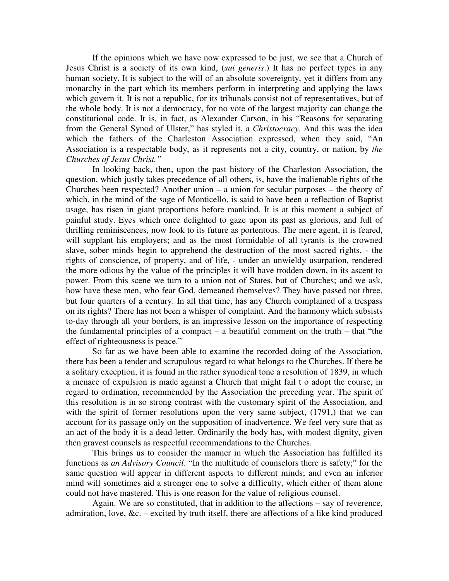If the opinions which we have now expressed to be just, we see that a Church of Jesus Christ is a society of its own kind, (*sui generis*.) It has no perfect types in any human society. It is subject to the will of an absolute sovereignty, yet it differs from any monarchy in the part which its members perform in interpreting and applying the laws which govern it. It is not a republic, for its tribunals consist not of representatives, but of the whole body. It is not a democracy, for no vote of the largest majority can change the constitutional code. It is, in fact, as Alexander Carson, in his "Reasons for separating from the General Synod of Ulster," has styled it, a *Christocracy*. And this was the idea which the fathers of the Charleston Association expressed, when they said, "An Association is a respectable body, as it represents not a city, country, or nation, by *the Churches of Jesus Christ."*

In looking back, then, upon the past history of the Charleston Association, the question, which justly takes precedence of all others, is, have the inalienable rights of the Churches been respected? Another union – a union for secular purposes – the theory of which, in the mind of the sage of Monticello, is said to have been a reflection of Baptist usage, has risen in giant proportions before mankind. It is at this moment a subject of painful study. Eyes which once delighted to gaze upon its past as glorious, and full of thrilling reminiscences, now look to its future as portentous. The mere agent, it is feared, will supplant his employers; and as the most formidable of all tyrants is the crowned slave, sober minds begin to apprehend the destruction of the most sacred rights, - the rights of conscience, of property, and of life, - under an unwieldy usurpation, rendered the more odious by the value of the principles it will have trodden down, in its ascent to power. From this scene we turn to a union not of States, but of Churches; and we ask, how have these men, who fear God, demeaned themselves? They have passed not three, but four quarters of a century. In all that time, has any Church complained of a trespass on its rights? There has not been a whisper of complaint. And the harmony which subsists to-day through all your borders, is an impressive lesson on the importance of respecting the fundamental principles of a compact – a beautiful comment on the truth – that "the effect of righteousness is peace."

So far as we have been able to examine the recorded doing of the Association, there has been a tender and scrupulous regard to what belongs to the Churches. If there be a solitary exception, it is found in the rather synodical tone a resolution of 1839, in which a menace of expulsion is made against a Church that might fail t o adopt the course, in regard to ordination, recommended by the Association the preceding year. The spirit of this resolution is in so strong contrast with the customary spirit of the Association, and with the spirit of former resolutions upon the very same subject, (1791,) that we can account for its passage only on the supposition of inadvertence. We feel very sure that as an act of the body it is a dead letter. Ordinarily the body has, with modest dignity, given then gravest counsels as respectful recommendations to the Churches.

This brings us to consider the manner in which the Association has fulfilled its functions as *an Advisory Council*. "In the multitude of counselors there is safety;" for the same question will appear in different aspects to different minds; and even an inferior mind will sometimes aid a stronger one to solve a difficulty, which either of them alone could not have mastered. This is one reason for the value of religious counsel.

Again. We are so constituted, that in addition to the affections – say of reverence, admiration, love, &c. – excited by truth itself, there are affections of a like kind produced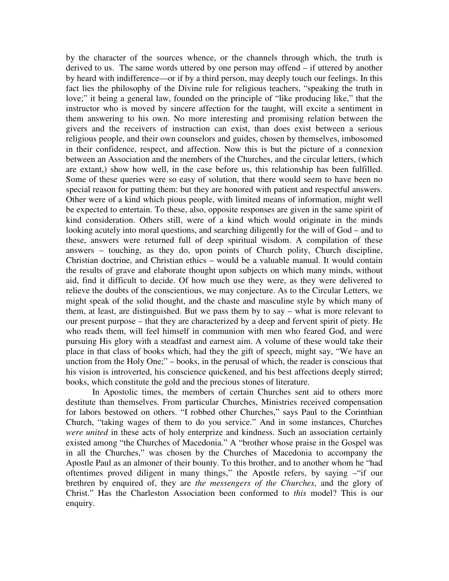by the character of the sources whence, or the channels through which, the truth is derived to us. The same words uttered by one person may offend – if uttered by another by heard with indifference—or if by a third person, may deeply touch our feelings. In this fact lies the philosophy of the Divine rule for religious teachers, "speaking the truth in love;" it being a general law, founded on the principle of "like producing like," that the instructor who is moved by sincere affection for the taught, will excite a sentiment in them answering to his own. No more interesting and promising relation between the givers and the receivers of instruction can exist, than does exist between a serious religious people, and their own counselors and guides, chosen by themselves, imbosomed in their confidence, respect, and affection. Now this is but the picture of a connexion between an Association and the members of the Churches, and the circular letters, (which are extant,) show how well, in the case before us, this relationship has been fulfilled. Some of these queries were so easy of solution, that there would seem to have been no special reason for putting them: but they are honored with patient and respectful answers. Other were of a kind which pious people, with limited means of information, might well be expected to entertain. To these, also, opposite responses are given in the same spirit of kind consideration. Others still, were of a kind which would originate in the minds looking acutely into moral questions, and searching diligently for the will of God – and to these, answers were returned full of deep spiritual wisdom. A compilation of these answers – touching, as they do, upon points of Church polity, Church discipline, Christian doctrine, and Christian ethics – would be a valuable manual. It would contain the results of grave and elaborate thought upon subjects on which many minds, without aid, find it difficult to decide. Of how much use they were, as they were delivered to relieve the doubts of the conscientious, we may conjecture. As to the Circular Letters, we might speak of the solid thought, and the chaste and masculine style by which many of them, at least, are distinguished. But we pass them by to say – what is more relevant to our present purpose – that they are characterized by a deep and fervent spirit of piety. He who reads them, will feel himself in communion with men who feared God, and were pursuing His glory with a steadfast and earnest aim. A volume of these would take their place in that class of books which, had they the gift of speech, might say, "We have an unction from the Holy One;" – books, in the perusal of which, the reader is conscious that his vision is introverted, his conscience quickened, and his best affections deeply stirred; books, which constitute the gold and the precious stones of literature.

In Apostolic times, the members of certain Churches sent aid to others more destitute than themselves. From particular Churches, Ministries received compensation for labors bestowed on others. "I robbed other Churches," says Paul to the Corinthian Church, "taking wages of them to do you service." And in some instances, Churches *were united* in these acts of holy enterprize and kindness. Such an association certainly existed among "the Churches of Macedonia." A "brother whose praise in the Gospel was in all the Churches," was chosen by the Churches of Macedonia to accompany the Apostle Paul as an almoner of their bounty. To this brother, and to another whom he "had oftentimes proved diligent in many things," the Apostle refers, by saying –"if our brethren by enquired of, they are *the messengers of the Churches*, and the glory of Christ." Has the Charleston Association been conformed to *this* model? This is our enquiry.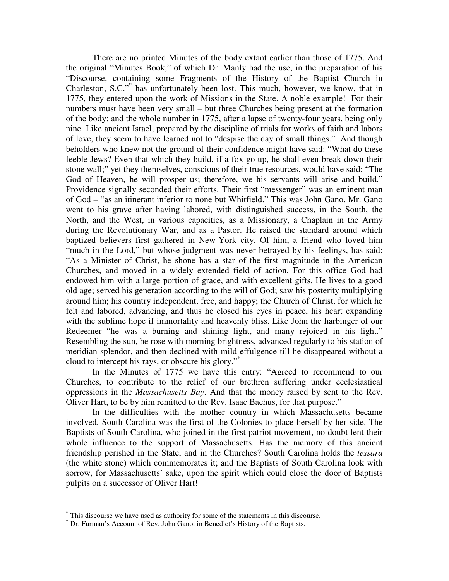There are no printed Minutes of the body extant earlier than those of 1775. And the original "Minutes Book," of which Dr. Manly had the use, in the preparation of his "Discourse, containing some Fragments of the History of the Baptist Church in Charleston, S.C." \* has unfortunately been lost. This much, however, we know, that in 1775, they entered upon the work of Missions in the State. A noble example! For their numbers must have been very small – but three Churches being present at the formation of the body; and the whole number in 1775, after a lapse of twenty-four years, being only nine. Like ancient Israel, prepared by the discipline of trials for works of faith and labors of love, they seem to have learned not to "despise the day of small things." And though beholders who knew not the ground of their confidence might have said: "What do these feeble Jews? Even that which they build, if a fox go up, he shall even break down their stone wall;" yet they themselves, conscious of their true resources, would have said: "The God of Heaven, he will prosper us; therefore, we his servants will arise and build." Providence signally seconded their efforts. Their first "messenger" was an eminent man of God – "as an itinerant inferior to none but Whitfield." This was John Gano. Mr. Gano went to his grave after having labored, with distinguished success, in the South, the North, and the West, in various capacities, as a Missionary, a Chaplain in the Army during the Revolutionary War, and as a Pastor. He raised the standard around which baptized believers first gathered in New-York city. Of him, a friend who loved him "much in the Lord," but whose judgment was never betrayed by his feelings, has said: "As a Minister of Christ, he shone has a star of the first magnitude in the American Churches, and moved in a widely extended field of action. For this office God had endowed him with a large portion of grace, and with excellent gifts. He lives to a good old age; served his generation according to the will of God; saw his posterity multiplying around him; his country independent, free, and happy; the Church of Christ, for which he felt and labored, advancing, and thus he closed his eyes in peace, his heart expanding with the sublime hope if immortality and heavenly bliss. Like John the harbinger of our Redeemer "he was a burning and shining light, and many rejoiced in his light." Resembling the sun, he rose with morning brightness, advanced regularly to his station of meridian splendor, and then declined with mild effulgence till he disappeared without a cloud to intercept his rays, or obscure his glory." \*

In the Minutes of 1775 we have this entry: "Agreed to recommend to our Churches, to contribute to the relief of our brethren suffering under ecclesiastical oppressions in the *Massachusetts Bay*. And that the money raised by sent to the Rev. Oliver Hart, to be by him remitted to the Rev. Isaac Bachus, for that purpose."

In the difficulties with the mother country in which Massachusetts became involved, South Carolina was the first of the Colonies to place herself by her side. The Baptists of South Carolina, who joined in the first patriot movement, no doubt lent their whole influence to the support of Massachusetts. Has the memory of this ancient friendship perished in the State, and in the Churches? South Carolina holds the *tessara* (the white stone) which commemorates it; and the Baptists of South Carolina look with sorrow, for Massachusetts' sake, upon the spirit which could close the door of Baptists pulpits on a successor of Oliver Hart!

This discourse we have used as authority for some of the statements in this discourse.

<sup>\*</sup> Dr. Furman's Account of Rev. John Gano, in Benedict's History of the Baptists.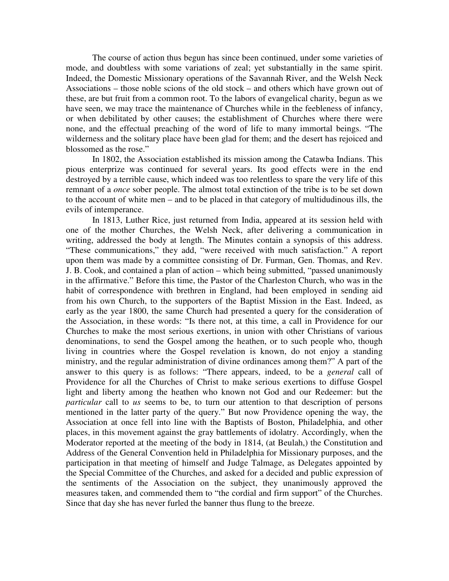The course of action thus begun has since been continued, under some varieties of mode, and doubtless with some variations of zeal; yet substantially in the same spirit. Indeed, the Domestic Missionary operations of the Savannah River, and the Welsh Neck Associations – those noble scions of the old stock – and others which have grown out of these, are but fruit from a common root. To the labors of evangelical charity, begun as we have seen, we may trace the maintenance of Churches while in the feebleness of infancy, or when debilitated by other causes; the establishment of Churches where there were none, and the effectual preaching of the word of life to many immortal beings. "The wilderness and the solitary place have been glad for them; and the desert has rejoiced and blossomed as the rose."

In 1802, the Association established its mission among the Catawba Indians. This pious enterprize was continued for several years. Its good effects were in the end destroyed by a terrible cause, which indeed was too relentless to spare the very life of this remnant of a *once* sober people. The almost total extinction of the tribe is to be set down to the account of white men – and to be placed in that category of multidudinous ills, the evils of intemperance.

In 1813, Luther Rice, just returned from India, appeared at its session held with one of the mother Churches, the Welsh Neck, after delivering a communication in writing, addressed the body at length. The Minutes contain a synopsis of this address. "These communications," they add, "were received with much satisfaction." A report upon them was made by a committee consisting of Dr. Furman, Gen. Thomas, and Rev. J. B. Cook, and contained a plan of action – which being submitted, "passed unanimously in the affirmative." Before this time, the Pastor of the Charleston Church, who was in the habit of correspondence with brethren in England, had been employed in sending aid from his own Church, to the supporters of the Baptist Mission in the East. Indeed, as early as the year 1800, the same Church had presented a query for the consideration of the Association, in these words: "Is there not, at this time, a call in Providence for our Churches to make the most serious exertions, in union with other Christians of various denominations, to send the Gospel among the heathen, or to such people who, though living in countries where the Gospel revelation is known, do not enjoy a standing ministry, and the regular administration of divine ordinances among them?" A part of the answer to this query is as follows: "There appears, indeed, to be a *general* call of Providence for all the Churches of Christ to make serious exertions to diffuse Gospel light and liberty among the heathen who known not God and our Redeemer: but the *particular* call to *us* seems to be, to turn our attention to that description of persons mentioned in the latter party of the query." But now Providence opening the way, the Association at once fell into line with the Baptists of Boston, Philadelphia, and other places, in this movement against the gray battlements of idolatry. Accordingly, when the Moderator reported at the meeting of the body in 1814, (at Beulah,) the Constitution and Address of the General Convention held in Philadelphia for Missionary purposes, and the participation in that meeting of himself and Judge Talmage, as Delegates appointed by the Special Committee of the Churches, and asked for a decided and public expression of the sentiments of the Association on the subject, they unanimously approved the measures taken, and commended them to "the cordial and firm support" of the Churches. Since that day she has never furled the banner thus flung to the breeze.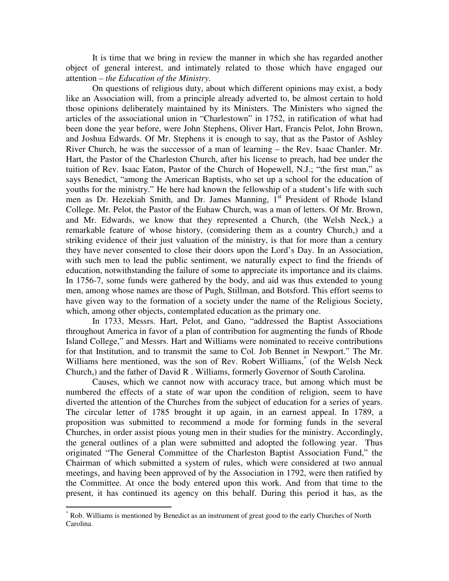It is time that we bring in review the manner in which she has regarded another object of general interest, and intimately related to those which have engaged our attention – *the Education of the Ministry*.

On questions of religious duty, about which different opinions may exist, a body like an Association will, from a principle already adverted to, be almost certain to hold those opinions deliberately maintained by its Ministers. The Ministers who signed the articles of the associational union in "Charlestown" in 1752, in ratification of what had been done the year before, were John Stephens, Oliver Hart, Francis Pelot, John Brown, and Joshua Edwards. Of Mr. Stephens it is enough to say, that as the Pastor of Ashley River Church, he was the successor of a man of learning – the Rev. Isaac Chanler. Mr. Hart, the Pastor of the Charleston Church, after his license to preach, had bee under the tuition of Rev. Isaac Eaton, Pastor of the Church of Hopewell, N.J.; "the first man," as says Benedict, "among the American Baptists, who set up a school for the education of youths for the ministry." He here had known the fellowship of a student's life with such men as Dr. Hezekiah Smith, and Dr. James Manning, 1<sup>st</sup> President of Rhode Island College. Mr. Pelot, the Pastor of the Euhaw Church, was a man of letters. Of Mr. Brown, and Mr. Edwards, we know that they represented a Church, (the Welsh Neck,) a remarkable feature of whose history, (considering them as a country Church,) and a striking evidence of their just valuation of the ministry, is that for more than a century they have never consented to close their doors upon the Lord's Day. In an Association, with such men to lead the public sentiment, we naturally expect to find the friends of education, notwithstanding the failure of some to appreciate its importance and its claims. In 1756-7, some funds were gathered by the body, and aid was thus extended to young men, among whose names are those of Pugh, Stillman, and Botsford. This effort seems to have given way to the formation of a society under the name of the Religious Society, which, among other objects, contemplated education as the primary one.

In 1733, Messrs. Hart, Pelot, and Gano, "addressed the Baptist Associations throughout America in favor of a plan of contribution for augmenting the funds of Rhode Island College," and Messrs. Hart and Williams were nominated to receive contributions for that Institution, and to transmit the same to Col. Job Bennet in Newport." The Mr. Williams here mentioned, was the son of Rev. Robert Williams, \* (of the Welsh Neck Church,) and the father of David R . Williams, formerly Governor of South Carolina.

Causes, which we cannot now with accuracy trace, but among which must be numbered the effects of a state of war upon the condition of religion, seem to have diverted the attention of the Churches from the subject of education for a series of years. The circular letter of 1785 brought it up again, in an earnest appeal. In 1789, a proposition was submitted to recommend a mode for forming funds in the several Churches, in order assist pious young men in their studies for the ministry. Accordingly, the general outlines of a plan were submitted and adopted the following year. Thus originated "The General Committee of the Charleston Baptist Association Fund," the Chairman of which submitted a system of rules, which were considered at two annual meetings, and having been approved of by the Association in 1792, were then ratified by the Committee. At once the body entered upon this work. And from that time to the present, it has continued its agency on this behalf. During this period it has, as the

<sup>\*</sup> Rob. Williams is mentioned by Benedict as an instrument of great good to the early Churches of North Carolina.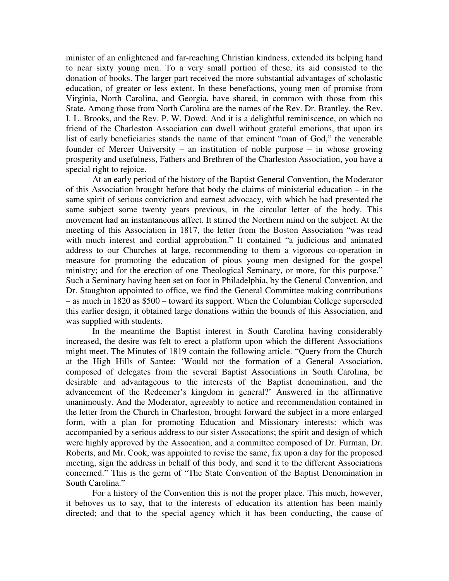minister of an enlightened and far-reaching Christian kindness, extended its helping hand to near sixty young men. To a very small portion of these, its aid consisted to the donation of books. The larger part received the more substantial advantages of scholastic education, of greater or less extent. In these benefactions, young men of promise from Virginia, North Carolina, and Georgia, have shared, in common with those from this State. Among those from North Carolina are the names of the Rev. Dr. Brantley, the Rev. I. L. Brooks, and the Rev. P. W. Dowd. And it is a delightful reminiscence, on which no friend of the Charleston Association can dwell without grateful emotions, that upon its list of early beneficiaries stands the name of that eminent "man of God," the venerable founder of Mercer University – an institution of noble purpose – in whose growing prosperity and usefulness, Fathers and Brethren of the Charleston Association, you have a special right to rejoice.

At an early period of the history of the Baptist General Convention, the Moderator of this Association brought before that body the claims of ministerial education – in the same spirit of serious conviction and earnest advocacy, with which he had presented the same subject some twenty years previous, in the circular letter of the body. This movement had an instantaneous affect. It stirred the Northern mind on the subject. At the meeting of this Association in 1817, the letter from the Boston Association "was read with much interest and cordial approbation." It contained "a judicious and animated address to our Churches at large, recommending to them a vigorous co-operation in measure for promoting the education of pious young men designed for the gospel ministry; and for the erection of one Theological Seminary, or more, for this purpose." Such a Seminary having been set on foot in Philadelphia, by the General Convention, and Dr. Staughton appointed to office, we find the General Committee making contributions – as much in 1820 as \$500 – toward its support. When the Columbian College superseded this earlier design, it obtained large donations within the bounds of this Association, and was supplied with students.

In the meantime the Baptist interest in South Carolina having considerably increased, the desire was felt to erect a platform upon which the different Associations might meet. The Minutes of 1819 contain the following article. "Query from the Church at the High Hills of Santee: 'Would not the formation of a General Association, composed of delegates from the several Baptist Associations in South Carolina, be desirable and advantageous to the interests of the Baptist denomination, and the advancement of the Redeemer's kingdom in general?' Answered in the affirmative unanimously. And the Moderator, agreeably to notice and recommendation contained in the letter from the Church in Charleston, brought forward the subject in a more enlarged form, with a plan for promoting Education and Missionary interests: which was accompanied by a serious address to our sister Assocations; the spirit and design of which were highly approved by the Assocation, and a committee composed of Dr. Furman, Dr. Roberts, and Mr. Cook, was appointed to revise the same, fix upon a day for the proposed meeting, sign the address in behalf of this body, and send it to the different Associations concerned." This is the germ of "The State Convention of the Baptist Denomination in South Carolina."

For a history of the Convention this is not the proper place. This much, however, it behoves us to say, that to the interests of education its attention has been mainly directed; and that to the special agency which it has been conducting, the cause of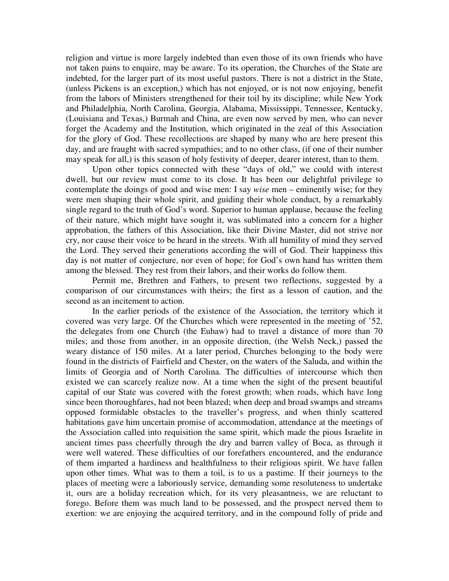religion and virtue is more largely indebted than even those of its own friends who have not taken pains to enquire, may be aware. To its operation, the Churches of the State are indebted, for the larger part of its most useful pastors. There is not a district in the State, (unless Pickens is an exception,) which has not enjoyed, or is not now enjoying, benefit from the labors of Ministers strengthened for their toil by its discipline; while New York and Philadelphia, North Carolina, Georgia, Alabama, Mississippi, Tennessee, Kentucky, (Louisiana and Texas,) Burmah and China, are even now served by men, who can never forget the Academy and the Institution, which originated in the zeal of this Association for the glory of God. These recollections are shaped by many who are here present this day, and are fraught with sacred sympathies; and to no other class, (if one of their number may speak for all,) is this season of holy festivity of deeper, dearer interest, than to them.

Upon other topics connected with these "days of old," we could with interest dwell, but our review must come to its close. It has been our delightful privilege to contemplate the doings of good and wise men: I say *wise* men – eminently wise; for they were men shaping their whole spirit, and guiding their whole conduct, by a remarkably single regard to the truth of God's word. Superior to human applause, because the feeling of their nature, which might have sought it, was sublimated into a concern for a higher approbation, the fathers of this Association, like their Divine Master, did not strive nor cry, nor cause their voice to be heard in the streets. With all humility of mind they served the Lord. They served their generations according the will of God. Their happiness this day is not matter of conjecture, nor even of hope; for God's own hand has written them among the blessed. They rest from their labors, and their works do follow them.

Permit me, Brethren and Fathers, to present two reflections, suggested by a comparison of our circumstances with theirs; the first as a lesson of caution, and the second as an incitement to action.

In the earlier periods of the existence of the Association, the territory which it covered was very large. Of the Churches which were represented in the meeting of '52, the delegates from one Church (the Euhaw) had to travel a distance of more than 70 miles; and those from another, in an opposite direction, (the Welsh Neck,) passed the weary distance of 150 miles. At a later period, Churches belonging to the body were found in the districts of Fairfield and Chester, on the waters of the Saluda, and within the limits of Georgia and of North Carolina. The difficulties of intercourse which then existed we can scarcely realize now. At a time when the sight of the present beautiful capital of our State was covered with the forest growth; when roads, which have long since been thoroughfares, had not been blazed; when deep and broad swamps and streams opposed formidable obstacles to the traveller's progress, and when thinly scattered habitations gave him uncertain promise of accommodation, attendance at the meetings of the Association called into requisition the same spirit, which made the pious Israelite in ancient times pass cheerfully through the dry and barren valley of Boca, as through it were well watered. These difficulties of our forefathers encountered, and the endurance of them imparted a hardiness and healthfulness to their religious spirit. We have fallen upon other times. What was to them a toil, is to us a pastime. If their journeys to the places of meeting were a laboriously service, demanding some resoluteness to undertake it, ours are a holiday recreation which, for its very pleasantness, we are reluctant to forego. Before them was much land to be possessed, and the prospect nerved them to exertion: we are enjoying the acquired territory, and in the compound folly of pride and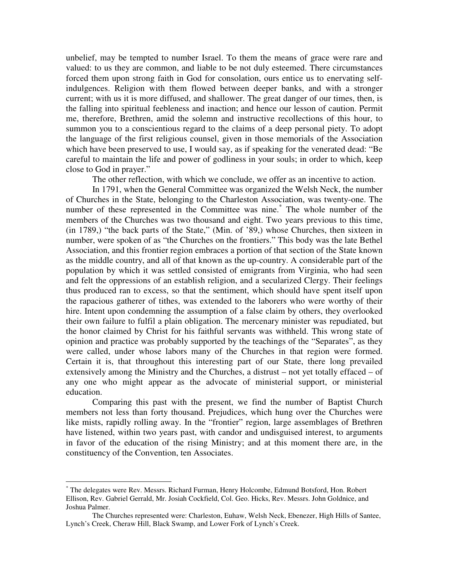unbelief, may be tempted to number Israel. To them the means of grace were rare and valued: to us they are common, and liable to be not duly esteemed. There circumstances forced them upon strong faith in God for consolation, ours entice us to enervating selfindulgences. Religion with them flowed between deeper banks, and with a stronger current; with us it is more diffused, and shallower. The great danger of our times, then, is the falling into spiritual feebleness and inaction; and hence our lesson of caution. Permit me, therefore, Brethren, amid the solemn and instructive recollections of this hour, to summon you to a conscientious regard to the claims of a deep personal piety. To adopt the language of the first religious counsel, given in those memorials of the Association which have been preserved to use, I would say, as if speaking for the venerated dead: "Be careful to maintain the life and power of godliness in your souls; in order to which, keep close to God in prayer."

The other reflection, with which we conclude, we offer as an incentive to action.

In 1791, when the General Committee was organized the Welsh Neck, the number of Churches in the State, belonging to the Charleston Association, was twenty-one. The number of these represented in the Committee was nine.<sup>\*</sup> The whole number of the members of the Churches was two thousand and eight. Two years previous to this time, (in 1789,) "the back parts of the State," (Min. of '89,) whose Churches, then sixteen in number, were spoken of as "the Churches on the frontiers." This body was the late Bethel Association, and this frontier region embraces a portion of that section of the State known as the middle country, and all of that known as the up-country. A considerable part of the population by which it was settled consisted of emigrants from Virginia, who had seen and felt the oppressions of an establish religion, and a secularized Clergy. Their feelings thus produced ran to excess, so that the sentiment, which should have spent itself upon the rapacious gatherer of tithes, was extended to the laborers who were worthy of their hire. Intent upon condemning the assumption of a false claim by others, they overlooked their own failure to fulfil a plain obligation. The mercenary minister was repudiated, but the honor claimed by Christ for his faithful servants was withheld. This wrong state of opinion and practice was probably supported by the teachings of the "Separates", as they were called, under whose labors many of the Churches in that region were formed. Certain it is, that throughout this interesting part of our State, there long prevailed extensively among the Ministry and the Churches, a distrust – not yet totally effaced – of any one who might appear as the advocate of ministerial support, or ministerial education.

Comparing this past with the present, we find the number of Baptist Church members not less than forty thousand. Prejudices, which hung over the Churches were like mists, rapidly rolling away. In the "frontier" region, large assemblages of Brethren have listened, within two years past, with candor and undisguised interest, to arguments in favor of the education of the rising Ministry; and at this moment there are, in the constituency of the Convention, ten Associates.

<sup>\*</sup> The delegates were Rev. Messrs. Richard Furman, Henry Holcombe, Edmund Botsford, Hon. Robert Ellison, Rev. Gabriel Gerrald, Mr. Josiah Cockfield, Col. Geo. Hicks, Rev. Messrs. John Goldnice, and Joshua Palmer.

The Churches represented were: Charleston, Euhaw, Welsh Neck, Ebenezer, High Hills of Santee, Lynch's Creek, Cheraw Hill, Black Swamp, and Lower Fork of Lynch's Creek.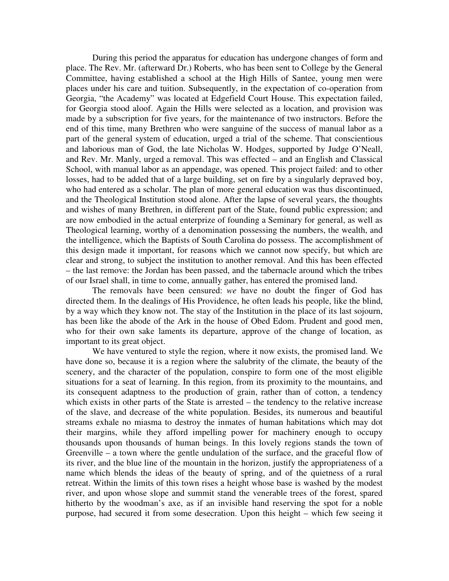During this period the apparatus for education has undergone changes of form and place. The Rev. Mr. (afterward Dr.) Roberts, who has been sent to College by the General Committee, having established a school at the High Hills of Santee, young men were places under his care and tuition. Subsequently, in the expectation of co-operation from Georgia, "the Academy" was located at Edgefield Court House. This expectation failed, for Georgia stood aloof. Again the Hills were selected as a location, and provision was made by a subscription for five years, for the maintenance of two instructors. Before the end of this time, many Brethren who were sanguine of the success of manual labor as a part of the general system of education, urged a trial of the scheme. That conscientious and laborious man of God, the late Nicholas W. Hodges, supported by Judge O'Neall, and Rev. Mr. Manly, urged a removal. This was effected – and an English and Classical School, with manual labor as an appendage, was opened. This project failed: and to other losses, had to be added that of a large building, set on fire by a singularly depraved boy, who had entered as a scholar. The plan of more general education was thus discontinued, and the Theological Institution stood alone. After the lapse of several years, the thoughts and wishes of many Brethren, in different part of the State, found public expression; and are now embodied in the actual enterprize of founding a Seminary for general, as well as Theological learning, worthy of a denomination possessing the numbers, the wealth, and the intelligence, which the Baptists of South Carolina do possess. The accomplishment of this design made it important, for reasons which we cannot now specify, but which are clear and strong, to subject the institution to another removal. And this has been effected – the last remove: the Jordan has been passed, and the tabernacle around which the tribes of our Israel shall, in time to come, annually gather, has entered the promised land.

The removals have been censured: *we* have no doubt the finger of God has directed them. In the dealings of His Providence, he often leads his people, like the blind, by a way which they know not. The stay of the Institution in the place of its last sojourn, has been like the abode of the Ark in the house of Obed Edom. Prudent and good men, who for their own sake laments its departure, approve of the change of location, as important to its great object.

We have ventured to style the region, where it now exists, the promised land. We have done so, because it is a region where the salubrity of the climate, the beauty of the scenery, and the character of the population, conspire to form one of the most eligible situations for a seat of learning. In this region, from its proximity to the mountains, and its consequent adaptness to the production of grain, rather than of cotton, a tendency which exists in other parts of the State is arrested – the tendency to the relative increase of the slave, and decrease of the white population. Besides, its numerous and beautiful streams exhale no miasma to destroy the inmates of human habitations which may dot their margins, while they afford impelling power for machinery enough to occupy thousands upon thousands of human beings. In this lovely regions stands the town of Greenville – a town where the gentle undulation of the surface, and the graceful flow of its river, and the blue line of the mountain in the horizon, justify the appropriateness of a name which blends the ideas of the beauty of spring, and of the quietness of a rural retreat. Within the limits of this town rises a height whose base is washed by the modest river, and upon whose slope and summit stand the venerable trees of the forest, spared hitherto by the woodman's axe, as if an invisible hand reserving the spot for a noble purpose, had secured it from some desecration. Upon this height – which few seeing it